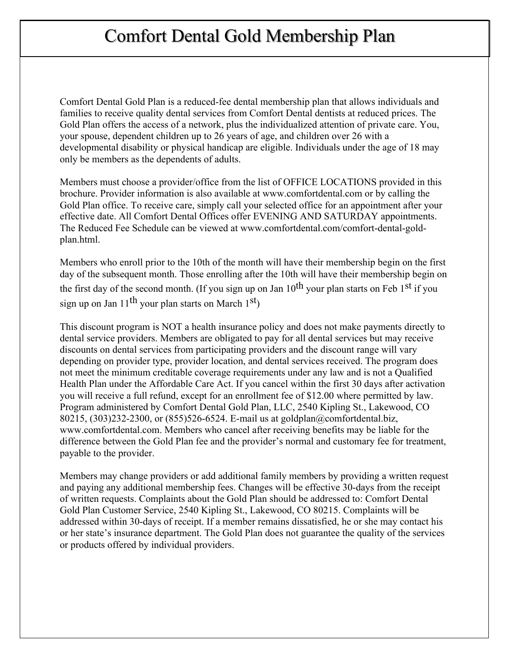# Comfort Dental Gold Membership Plan

Comfort Dental Gold Plan is a reduced-fee dental membership plan that allows individuals and families to receive quality dental services from Comfort Dental dentists at reduced prices. The Gold Plan offers the access of a network, plus the individualized attention of private care. You, your spouse, dependent children up to 26 years of age, and children over 26 with a developmental disability or physical handicap are eligible. Individuals under the age of 18 may only be members as the dependents of adults.

Members must choose a provider/office from the list of OFFICE LOCATIONS provided in this brochure. Provider information is also available at www.comfortdental.com or by calling the Gold Plan office. To receive care, simply call your selected office for an appointment after your effective date. All Comfort Dental Offices offer EVENING AND SATURDAY appointments. The Reduced Fee Schedule can be viewed at www.comfortdental.com/comfort-dental-goldplan.html.

Members who enroll prior to the 10th of the month will have their membership begin on the first day of the subsequent month. Those enrolling after the 10th will have their membership begin on the first day of the second month. (If you sign up on Jan  $10^{th}$  your plan starts on Feb 1<sup>st</sup> if you sign up on Jan  $11^{th}$  your plan starts on March  $1^{st}$ )

This discount program is NOT a health insurance policy and does not make payments directly to dental service providers. Members are obligated to pay for all dental services but may receive discounts on dental services from participating providers and the discount range will vary depending on provider type, provider location, and dental services received. The program does not meet the minimum creditable coverage requirements under any law and is not a Qualified Health Plan under the Affordable Care Act. If you cancel within the first 30 days after activation you will receive a full refund, except for an enrollment fee of \$12.00 where permitted by law. Program administered by Comfort Dental Gold Plan, LLC, 2540 Kipling St., Lakewood, CO 80215, (303)232-2300, or (855)526-6524. E-mail us at goldplan@comfortdental.biz, www.comfortdental.com. Members who cancel after receiving benefits may be liable for the difference between the Gold Plan fee and the provider's normal and customary fee for treatment, payable to the provider.

Members may change providers or add additional family members by providing a written request and paying any additional membership fees. Changes will be effective 30-days from the receipt of written requests. Complaints about the Gold Plan should be addressed to: Comfort Dental Gold Plan Customer Service, 2540 Kipling St., Lakewood, CO 80215. Complaints will be addressed within 30-days of receipt. If a member remains dissatisfied, he or she may contact his or her state's insurance department. The Gold Plan does not guarantee the quality of the services or products offered by individual providers.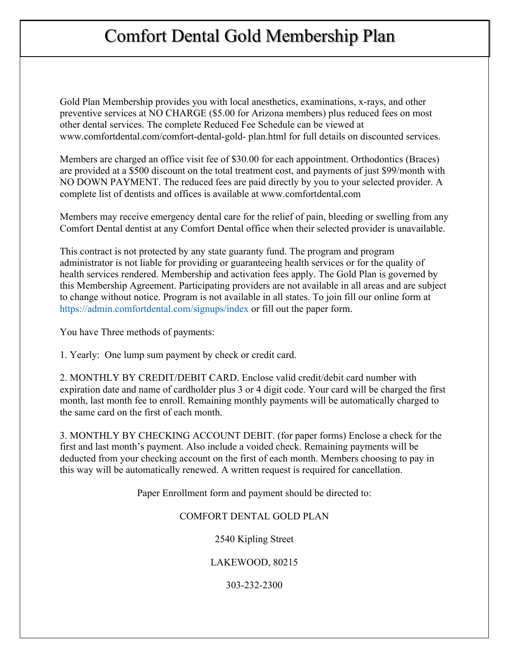# Comfort Dental Gold Membership Plan

Gold Plan Membership provides you with local anesthetics, examinations, x-rays, and other preventive services at NO CHARGE (\$5.00 for Arizona members) plus reduced fees on most other dental services. The complete Reduced Fee Schedule can be viewed at www.comfortdental.com/comfort-dental-gold- plan.html for full details on discounted services.

Members are charged an office visit fee of \$30.00 for each appointment. Orthodontics (Braces) are provided at a \$500 discount on the total treatment cost, and payments of just \$99/month with NO DOWN PAYMENT. The reduced fees are paid directly by you to your selected provider. A complete list of dentists and offices is available at www.comfortdental.com

Members may receive emergency dental care for the relief of pain, bleeding or swelling from any Comfort Dental dentist at any Comfort Dental office when their selected provider is unavailable.

This contract is not protected by any state guaranty fund. The program and program administrator is not liable for providing or guaranteeing health services or for the quality of health services rendered. Membership and activation fees apply. The Gold Plan is governed by this Membership Agreement. Participating providers are not available in all areas and are subject to change without notice. Program is not available in all states. To join fill our online form at https://admin.comfortdental.com/signups/index or fill out the paper form.

You have Three methods of payments:

1. Yearly: One lump sum payment by check or credit card.

2. MONTHLY BY CREDIT/DEBIT CARD. Enclose valid credit/debit card number with expiration date and name of cardholder plus 3 or 4 digit code. Your card will be charged the first month, last month fee to enroll. Remaining monthly payments will be automatically charged to the same card on the first of each month.

3. MONTHLY BY CHECKING ACCOUNT DEBIT. (for paper forms) Enclose a check for the first and last month's payment. Also include a voided check. Remaining payments will be deducted from your checking account on the first of each month. Members choosing to pay in this way will be automatically renewed. A written request is required for cancellation.

Paper Enrollment form and payment should be directed to:

## COMFORT DENTAL GOLD PLAN

2540 Kipling Street

LAKEWOOD, 80215

303-232-2300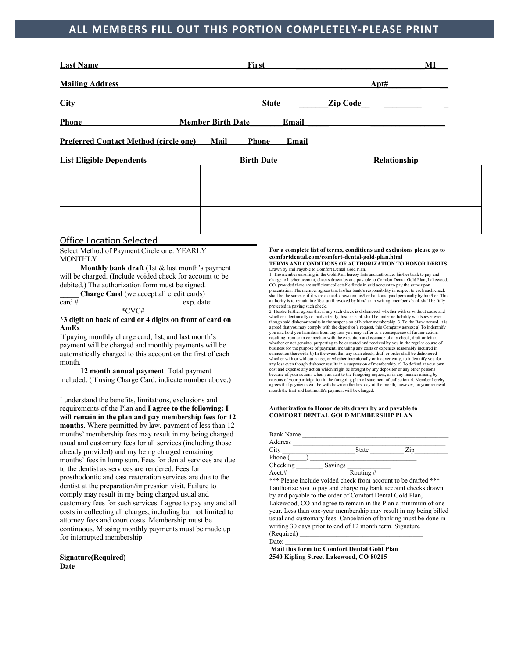# **ALL MEMBERS FILL OUT THIS PORTION COMPLETELY-PLEASE PRINT**

| First<br><b>Last Name</b>                    |                                   | MI              |              |
|----------------------------------------------|-----------------------------------|-----------------|--------------|
| <b>Mailing Address</b>                       |                                   | Apt#            |              |
| <b>City</b>                                  | <b>State</b>                      | <b>Zip Code</b> |              |
| <b>Phone</b>                                 | <b>Member Birth Date</b><br>Email |                 |              |
| <b>Preferred Contact Method (circle one)</b> | Mail<br>Phone<br><b>Email</b>     |                 |              |
| <b>List Eligible Dependents</b>              | <b>Birth Date</b>                 |                 | Relationship |
|                                              |                                   |                 |              |
|                                              |                                   |                 |              |
|                                              |                                   |                 |              |

#### Office Location Selected\_\_\_\_\_\_\_\_\_\_\_\_\_\_\_\_\_\_\_\_

Select Method of Payment Circle one: YEARLY **MONTHLY** 

Monthly bank draft (1st & last month's payment will be charged. (Include voided check for account to be debited.) The authorization form must be signed.

\_\_\_\_\_ **Charge Card** (we accept all credit cards) card #  $\qquad \qquad \text{exp. date:}$ 

 $*$ CVC#

#### **\*3 digit on back of card or 4 digits on front of card on AmEx**

If paying monthly charge card, 1st, and last month's payment will be charged and monthly payments will be automatically charged to this account on the first of each month.

\_\_\_\_\_ **12 month annual payment**. Total payment included. (If using Charge Card, indicate number above.)

I understand the benefits, limitations, exclusions and requirements of the Plan and **I agree to the following: I will remain in the plan and pay membership fees for 12 months**. Where permitted by law, payment of less than 12 months' membership fees may result in my being charged usual and customary fees for all services (including those already provided) and my being charged remaining months' fees in lump sum. Fees for dental services are due to the dentist as services are rendered. Fees for prosthodontic and cast restoration services are due to the dentist at the preparation/impression visit. Failure to comply may result in my being charged usual and customary fees for such services. I agree to pay any and all costs in collecting all charges, including but not limited to attorney fees and court costs. Membership must be continuous. Missing monthly payments must be made up for interrupted membership.

| Signature(Required) |  |
|---------------------|--|
| Date                |  |

**For a complete list of terms, conditions and exclusions please go to comfortdental.com/comfort-dental-gold-plan.html TERMS AND CONDITIONS OF AUTHORIZATION TO HONOR DEBITS**

Drawn by and Payable to Comfort Dental Gold Plan. 1. The member enrolling in the Gold Plan hereby lists and authorizes his/her bank to pay and charge to his/her account, checks drawn by and payable to Comfort Dental Gold Plan, Lakewood,<br>CO, provided there are sufficient collectable funds in said account to pay the same upon<br>presentation. The member agrees that hi shall be the same as if it were a check drawn on his/her bank and paid personally by him/her. This authority is to remain in effect until revoked by him/her in writing, member's bank shall be fully

protected in paying such check. 2. He/she further agrees that if any such check is dishonored, whether with or without cause and whether intentionally or inadvertently, his/her bank shall be under no liability whatsoever even though said dishonor results in the suspension of his/her membership. 3. To the Bank named, it is agreed that you may comply with the depositor's request, this Company agrees: a) To indemnify you and hold you harmless from any loss you may suffer as a consequence of further actions resulting from or in connection with the execution and issuance of any check, draft or letter, whether or not genuine, purporting to be executed and received by you in the regular course of business for the purpose of payment, including any costs or expenses reasonably incurred in connection therewith. b) In the event that any such check, draft or order shall be dishonored whether with or without cause, or whether intentionally or inadvertently, to indemnify you for any loss even though dishonor results in a suspension of membership. c) To defend at your own cost and expense any action which might be brought by any depositor or any other persons because of your actions when pursuant to the foregoing request, or in any manner arising by<br>reasons of your participation in the foregoing plan of statement of collection. 4. Member hereby<br>agrees that payments will be with month the first and last month's payment will be charged.

#### **Authorization to Honor debits drawn by and payable to COMFORT DENTAL GOLD MEMBERSHIP PLAN**

| <b>Bank Name</b> |         |           |             |  |
|------------------|---------|-----------|-------------|--|
| Address          |         |           |             |  |
| City             |         | State     | Zip         |  |
| Phone (          |         |           |             |  |
| Checking         | Savings |           |             |  |
| Acct.#           |         | Routing # |             |  |
| .                | .       |           | .<br>$\sim$ |  |

\*\*\* Please include voided check from account to be drafted \*\*\* I authorize you to pay and charge my bank account checks drawn by and payable to the order of Comfort Dental Gold Plan, Lakewood, CO and agree to remain in the Plan a minimum of one year. Less than one-year membership may result in my being billed usual and customary fees. Cancelation of banking must be done in writing 30 days prior to end of 12 month term. Signature (Required) \_\_\_\_\_\_\_\_\_\_\_\_\_\_\_\_\_\_\_\_\_\_\_\_\_\_\_\_\_\_\_\_\_\_\_\_\_  $Date:$ 

**Mail this form to: Comfort Dental Gold Plan 2540 Kipling Street Lakewood, CO 80215**